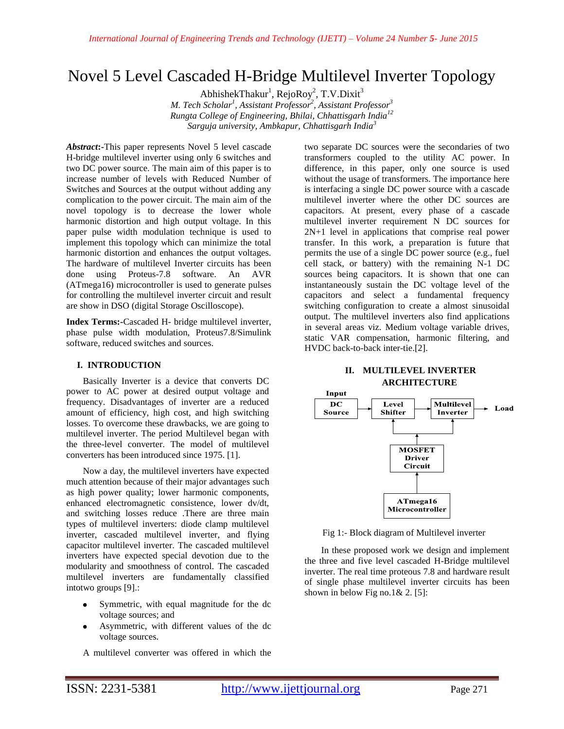# Novel 5 Level Cascaded H-Bridge Multilevel Inverter Topology

AbhishekThakur<sup>1</sup>, RejoRoy<sup>2</sup>, T.V.Dixit<sup>3</sup> *M. Tech Scholar<sup>1</sup> , Assistant Professor<sup>2</sup> , Assistant Professor<sup>3</sup> Rungta College of Engineering, Bhilai, Chhattisgarh India<sup>12</sup> Sarguja university, Ambkapur, Chhattisgarh India<sup>3</sup>*

*Abstract***:-**This paper represents Novel 5 level cascade H-bridge multilevel inverter using only 6 switches and two DC power source. The main aim of this paper is to increase number of levels with Reduced Number of Switches and Sources at the output without adding any complication to the power circuit. The main aim of the novel topology is to decrease the lower whole harmonic distortion and high output voltage. In this paper pulse width modulation technique is used to implement this topology which can minimize the total harmonic distortion and enhances the output voltages. The hardware of multilevel Inverter circuits has been done using Proteus-7.8 software. An AVR (ATmega16) microcontroller is used to generate pulses for controlling the multilevel inverter circuit and result are show in DSO (digital Storage Oscilloscope).

**Index Terms:-**Cascaded H- bridge multilevel inverter, phase pulse width modulation, Proteus7.8/Simulink software, reduced switches and sources.

#### **I. INTRODUCTION**

Basically Inverter is a device that converts DC power to AC power at desired output voltage and frequency. Disadvantages of inverter are a reduced amount of efficiency, high cost, and high switching losses. To overcome these drawbacks, we are going to multilevel inverter. The period Multilevel began with the three-level converter. The model of multilevel converters has been introduced since 1975. [1].

Now a day, the multilevel inverters have expected much attention because of their major advantages such as high power quality; lower harmonic components, enhanced electromagnetic consistence, lower dv/dt, and switching losses reduce .There are three main types of multilevel inverters: diode clamp multilevel inverter, cascaded multilevel inverter, and flying capacitor multilevel inverter. The cascaded multilevel inverters have expected special devotion due to the modularity and smoothness of control. The cascaded multilevel inverters are fundamentally classified intotwo groups [9].:

- Symmetric, with equal magnitude for the dc voltage sources; and
- Asymmetric, with different values of the dc voltage sources.

A multilevel converter was offered in which the

two separate DC sources were the secondaries of two transformers coupled to the utility AC power. In difference, in this paper, only one source is used without the usage of transformers. The importance here is interfacing a single DC power source with a cascade multilevel inverter where the other DC sources are capacitors. At present, every phase of a cascade multilevel inverter requirement N DC sources for 2N+1 level in applications that comprise real power transfer. In this work, a preparation is future that permits the use of a single DC power source (e.g., fuel cell stack, or battery) with the remaining N-1 DC sources being capacitors. It is shown that one can instantaneously sustain the DC voltage level of the capacitors and select a fundamental frequency switching configuration to create a almost sinusoidal output. The multilevel inverters also find applications in several areas viz. Medium voltage variable drives, static VAR compensation, harmonic filtering, and HVDC back-to-back inter-tie.[2].

#### **II. MULTILEVEL INVERTER ARCHITECTURE**



Fig 1:- Block diagram of Multilevel inverter

In these proposed work we design and implement the three and five level cascaded H-Bridge multilevel inverter. The real time proteous 7.8 and hardware result of single phase multilevel inverter circuits has been shown in below Fig no.1& 2. [5]: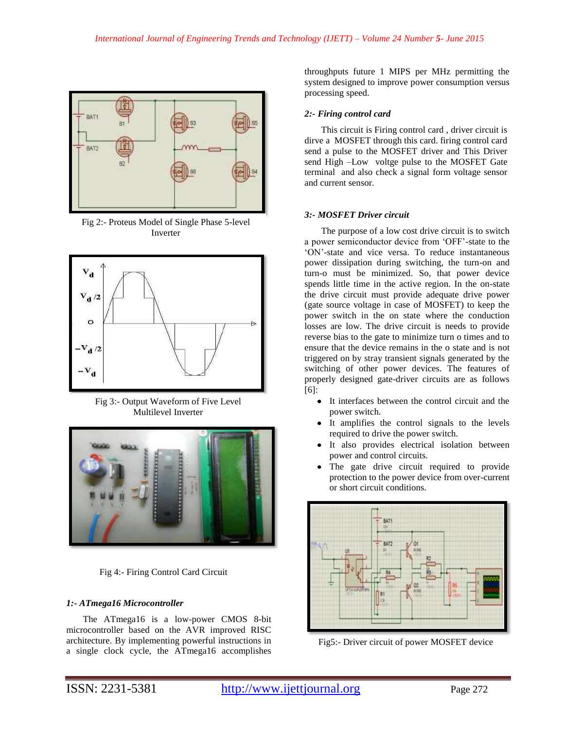

Fig 2:- Proteus Model of Single Phase 5-level Inverter



Fig 3:- Output Waveform of Five Level Multilevel Inverter





## *1:- ATmega16 Microcontroller*

The ATmega16 is a low-power CMOS 8-bit microcontroller based on the AVR improved RISC architecture. By implementing powerful instructions in a single clock cycle, the ATmega16 accomplishes throughputs future 1 MIPS per MHz permitting the system designed to improve power consumption versus processing speed.

### *2:- Firing control card*

This circuit is Firing control card , driver circuit is dirve a MOSFET through this card. firing control card send a pulse to the MOSFET driver and This Driver send High –Low voltge pulse to the MOSFET Gate terminal and also check a signal form voltage sensor and current sensor.

## *3:- MOSFET Driver circuit*

The purpose of a low cost drive circuit is to switch a power semiconductor device from "OFF"-state to the "ON"-state and vice versa. To reduce instantaneous power dissipation during switching, the turn-on and turn-o must be minimized. So, that power device spends little time in the active region. In the on-state the drive circuit must provide adequate drive power (gate source voltage in case of MOSFET) to keep the power switch in the on state where the conduction losses are low. The drive circuit is needs to provide reverse bias to the gate to minimize turn o times and to ensure that the device remains in the o state and is not triggered on by stray transient signals generated by the switching of other power devices. The features of properly designed gate-driver circuits are as follows [6]:

- It interfaces between the control circuit and the power switch.
- It amplifies the control signals to the levels required to drive the power switch.
- It also provides electrical isolation between power and control circuits.
- The gate drive circuit required to provide protection to the power device from over-current or short circuit conditions.



Fig5:- Driver circuit of power MOSFET device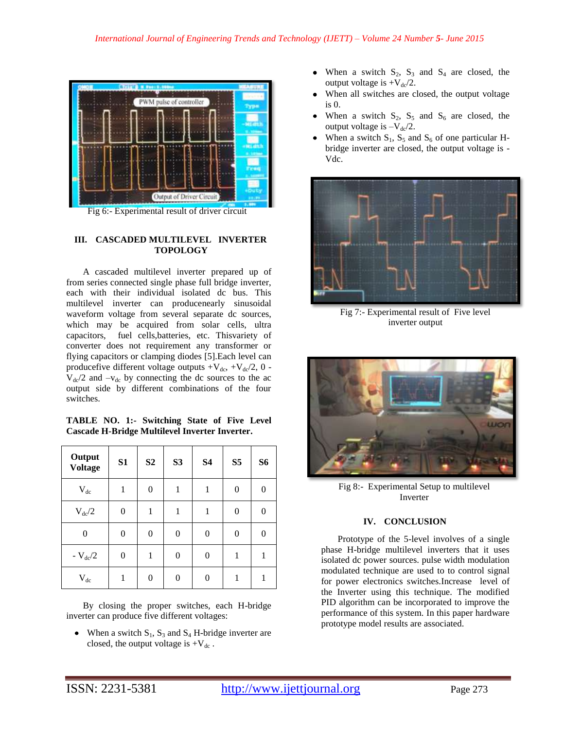

Fig 6:- Experimental result of driver circuit

#### **III. CASCADED MULTILEVEL INVERTER TOPOLOGY**

A cascaded multilevel inverter prepared up of from series connected single phase full bridge inverter, each with their individual isolated dc bus. This multilevel inverter can producenearly sinusoidal waveform voltage from several separate dc sources, which may be acquired from solar cells, ultra capacitors, fuel cells,batteries, etc. Thisvariety of converter does not requirement any transformer or flying capacitors or clamping diodes [5].Each level can producefive different voltage outputs  $+V_{dc}$ ,  $+V_{dc}/2$ , 0 - $V_{dc}/2$  and  $-V_{dc}$  by connecting the dc sources to the ac output side by different combinations of the four switches.

**TABLE NO. 1:- Switching State of Five Level Cascade H-Bridge Multilevel Inverter Inverter.**

| Output<br><b>Voltage</b> | S1               | S <sub>2</sub> | S <sub>3</sub>   | <b>S4</b>        | S <sub>5</sub> | S6               |
|--------------------------|------------------|----------------|------------------|------------------|----------------|------------------|
| $V_{dc}$                 | 1                | $\mathbf{0}$   | 1                | 1                | $\theta$       | $\boldsymbol{0}$ |
| $V_{dc}/2$               | $\boldsymbol{0}$ | 1              | 1                | 1                | $\mathbf{0}$   | $\boldsymbol{0}$ |
| $\boldsymbol{0}$         | $\boldsymbol{0}$ | $\overline{0}$ | $\boldsymbol{0}$ | $\overline{0}$   | $\overline{0}$ | $\boldsymbol{0}$ |
| - $\rm V_{dc}/2$         | $\boldsymbol{0}$ | 1              | $\boldsymbol{0}$ | $\boldsymbol{0}$ |                | 1                |
| $V_{dc}$                 | 1                | $\theta$       | $\boldsymbol{0}$ | $\overline{0}$   |                | 1                |

By closing the proper switches, each H-bridge inverter can produce five different voltages:

• When a switch  $S_1$ ,  $S_3$  and  $S_4$  H-bridge inverter are closed, the output voltage is  $+V_{dc}$ .

- When a switch  $S_2$ ,  $S_3$  and  $S_4$  are closed, the output voltage is  $+V_{dc}/2$ .
- When all switches are closed, the output voltage is 0.
- When a switch  $S_2$ ,  $S_5$  and  $S_6$  are closed, the output voltage is  $-V_{\text{dc}}/2$ .
- When a switch  $S_1$ ,  $S_5$  and  $S_6$  of one particular Hbridge inverter are closed, the output voltage is - Vdc.



Fig 7:- Experimental result of Five level inverter output



Fig 8:- Experimental Setup to multilevel Inverter

#### **IV. CONCLUSION**

Prototype of the 5-level involves of a single phase H-bridge multilevel inverters that it uses isolated dc power sources. pulse width modulation modulated technique are used to to control signal for power electronics switches.Increase level of the Inverter using this technique. The modified PID algorithm can be incorporated to improve the performance of this system. In this paper hardware prototype model results are associated.